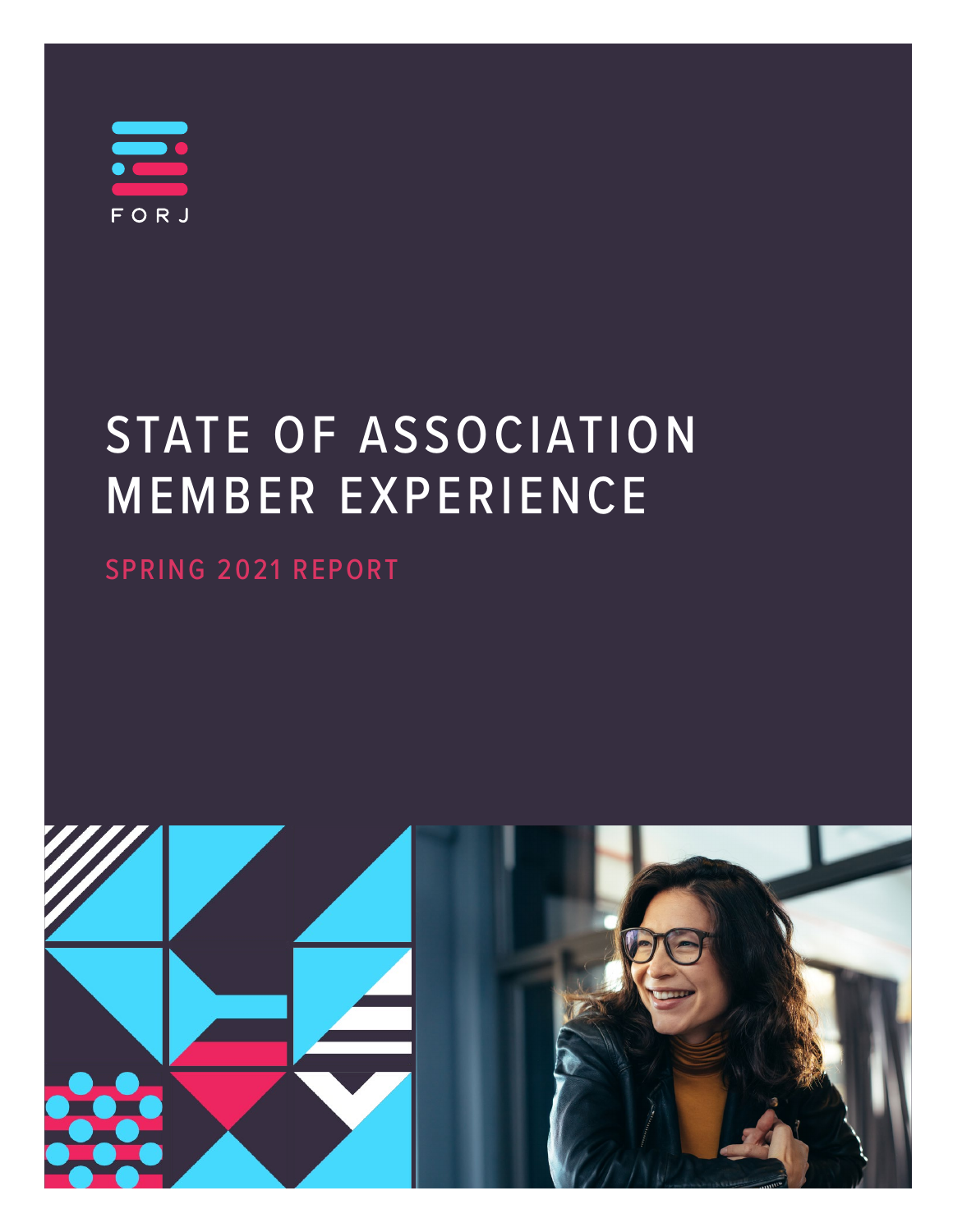$\equiv$ FORJ

# STATE OF ASSOCIATION MEMBER EXPERIENCE

SPRING 2021 REPORT

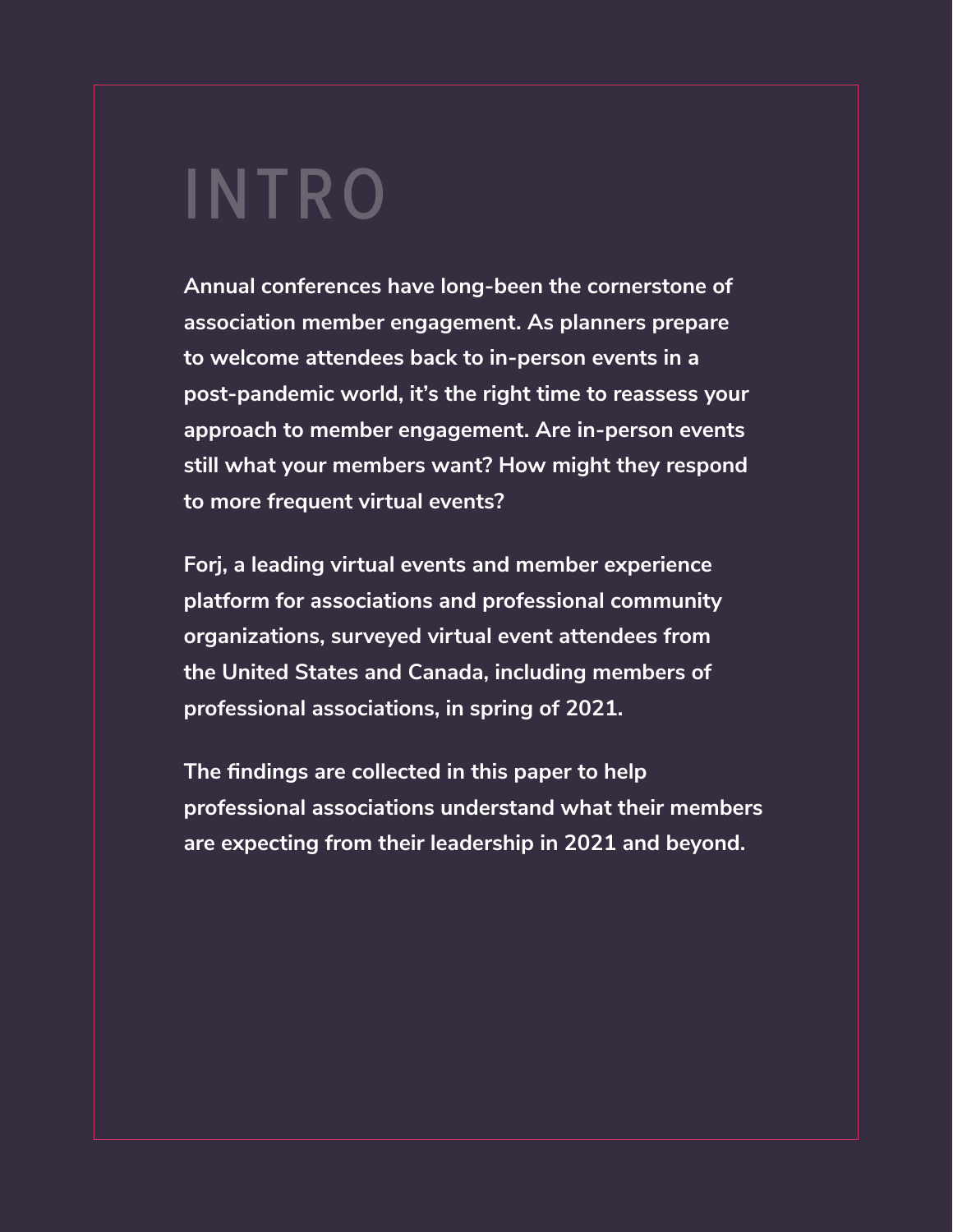# INTRO

**Annual conferences have long-been the cornerstone of association member engagement. As planners prepare to welcome attendees back to in-person events in a post-pandemic world, it's the right time to reassess your approach to member engagement. Are in-person events still what your members want? How might they respond to more frequent virtual events?** 

**Forj, a leading virtual events and member experience platform for associations and professional community organizations, surveyed virtual event attendees from the United States and Canada, including members of professional associations, in spring of 2021.** 

**The findings are collected in this paper to help professional associations understand what their members are expecting from their leadership in 2021 and beyond.**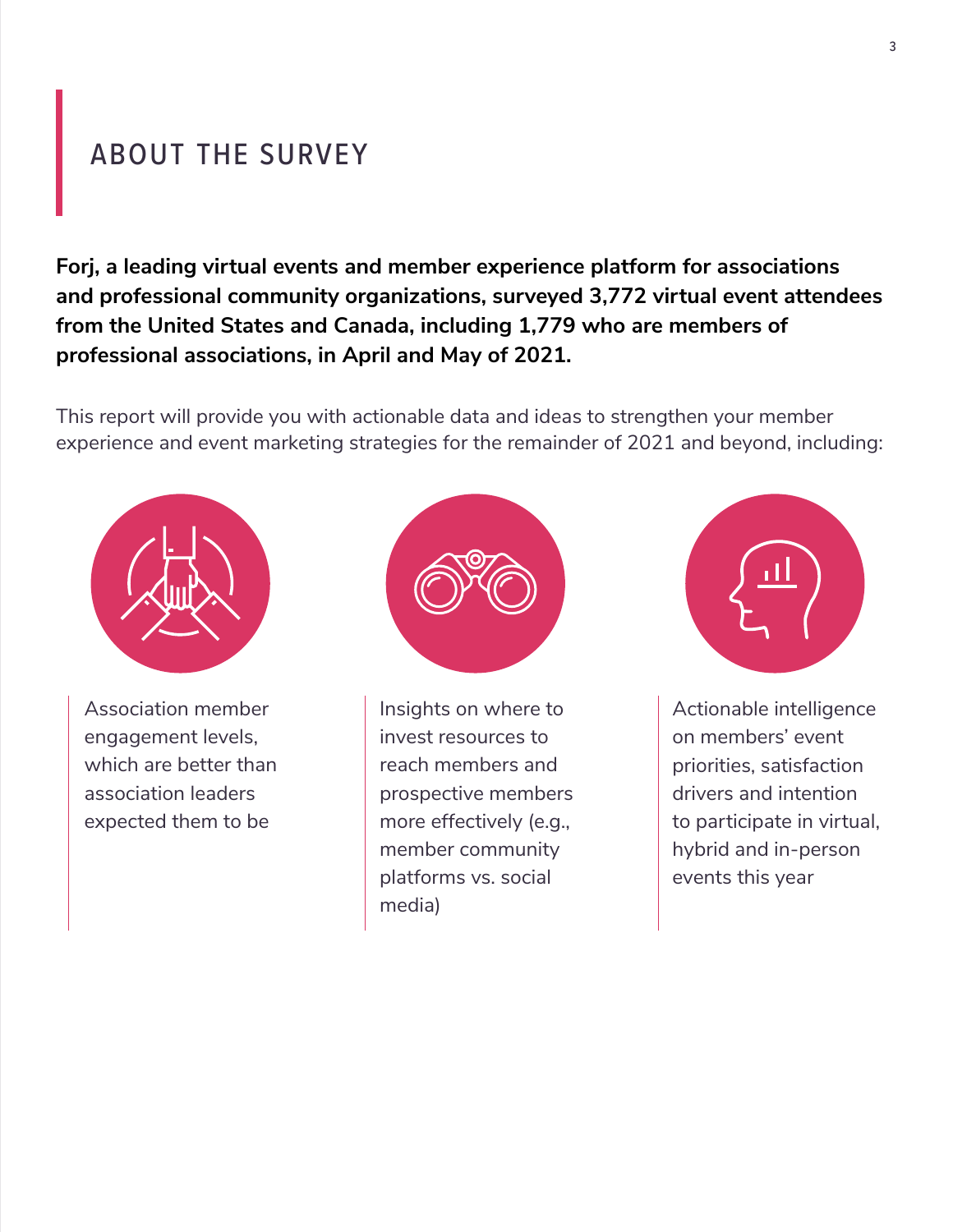### ABOUT THE SURVEY

**Forj, a leading virtual events and member experience platform for associations and professional community organizations, surveyed 3,772 virtual event attendees from the United States and Canada, including 1,779 who are members of professional associations, in April and May of 2021.** 

This report will provide you with actionable data and ideas to strengthen your member experience and event marketing strategies for the remainder of 2021 and beyond, including:



Association member engagement levels, which are better than association leaders expected them to be



Insights on where to invest resources to reach members and prospective members more effectively (e.g., member community platforms vs. social media)



Actionable intelligence on members' event priorities, satisfaction drivers and intention to participate in virtual, hybrid and in-person events this year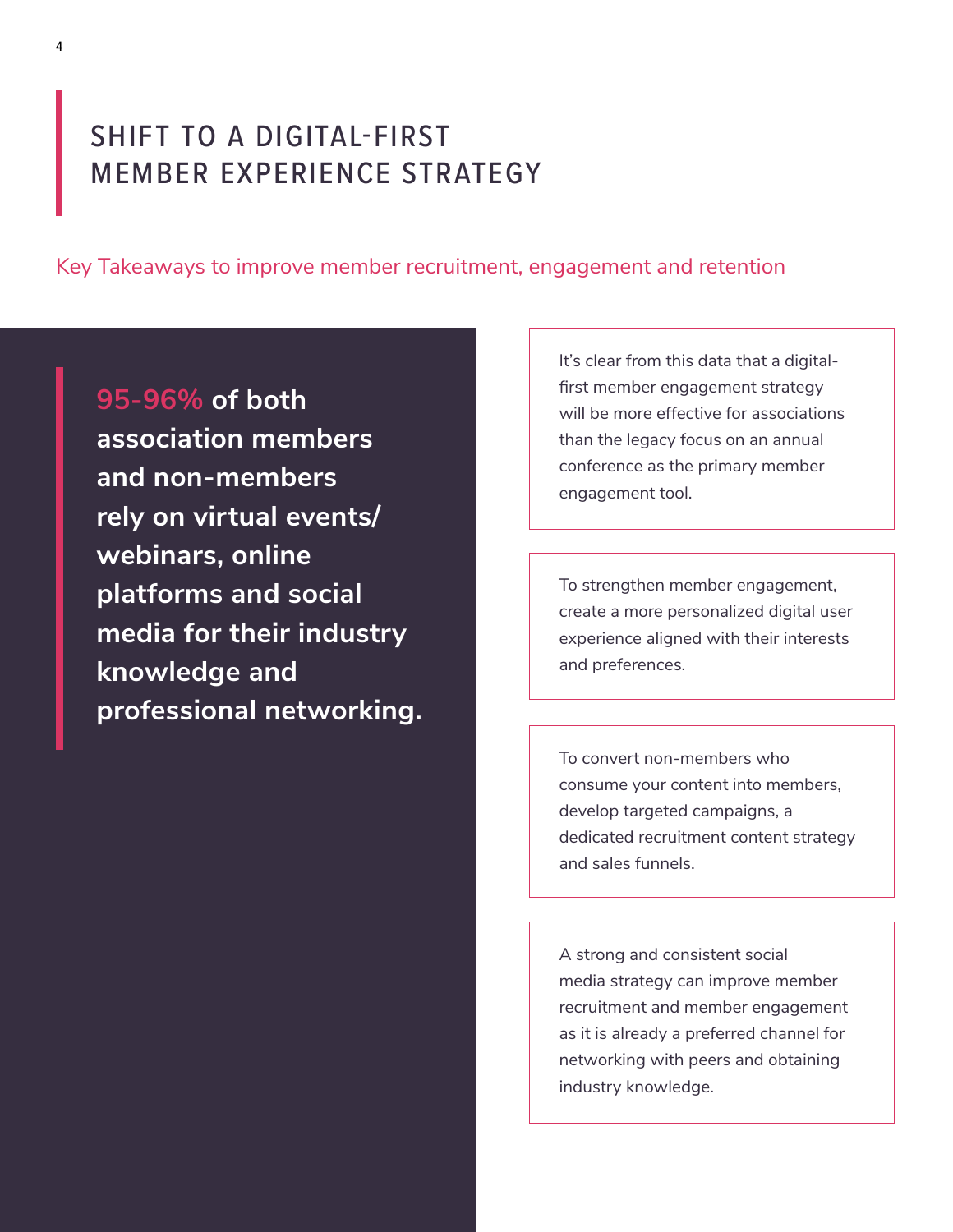### SHIFT TO A DIGITAL-FIRST MEMBER EXPERIENCE STRATEGY

Key Takeaways to improve member recruitment, engagement and retention

**95-96% of both association members and non-members rely on virtual events/ webinars, online platforms and social media for their industry knowledge and professional networking.**  It's clear from this data that a digitalfirst member engagement strategy will be more effective for associations than the legacy focus on an annual conference as the primary member engagement tool.

To strengthen member engagement, create a more personalized digital user experience aligned with their interests and preferences.

To convert non-members who consume your content into members, develop targeted campaigns, a dedicated recruitment content strategy and sales funnels.

A strong and consistent social media strategy can improve member recruitment and member engagement as it is already a preferred channel for networking with peers and obtaining industry knowledge.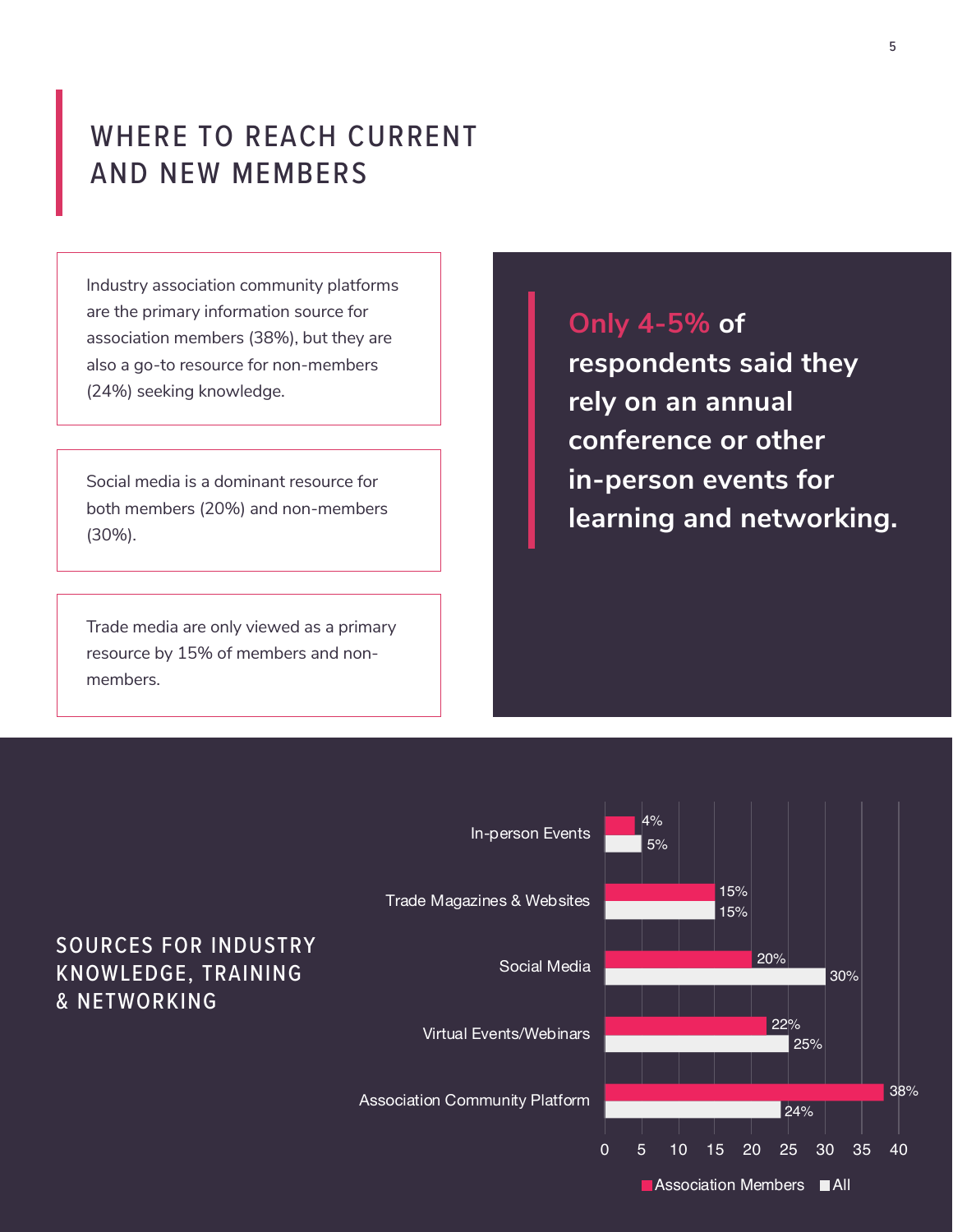### WHERE TO REACH CURRENT AND NEW MEMBERS

Industry association community platforms are the primary information source for association members (38%), but they are also a go-to resource for non-members (24%) seeking knowledge.

Social media is a dominant resource for both members (20%) and non-members (30%).

Trade media are only viewed as a primary resource by 15% of members and nonmembers.

### **Only 4-5% of**

**respondents said they rely on an annual conference or other in-person events for learning and networking.** 

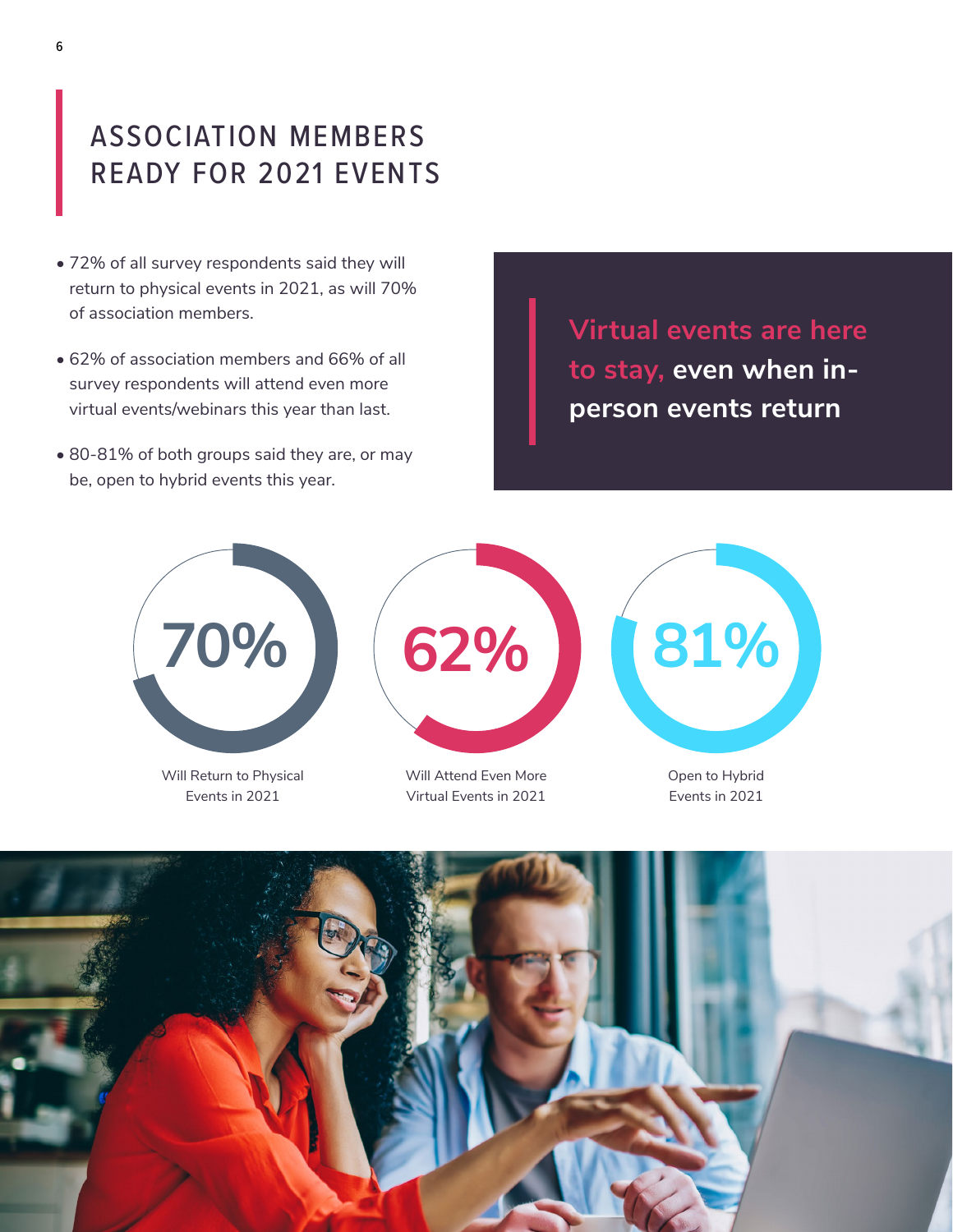## ASSOCIATION MEMBERS READY FOR 2021 EVENTS

- 72% of all survey respondents said they will return to physical events in 2021, as will 70% of association members.
- 62% of association members and 66% of all survey respondents will attend even more virtual events/webinars this year than last.
- 80-81% of both groups said they are, or may be, open to hybrid events this year.

**Virtual events are here to stay, even when inperson events return**



Will Return to Physical Events in 2021

Will Attend Even More Virtual Events in 2021



Open to Hybrid Events in 2021

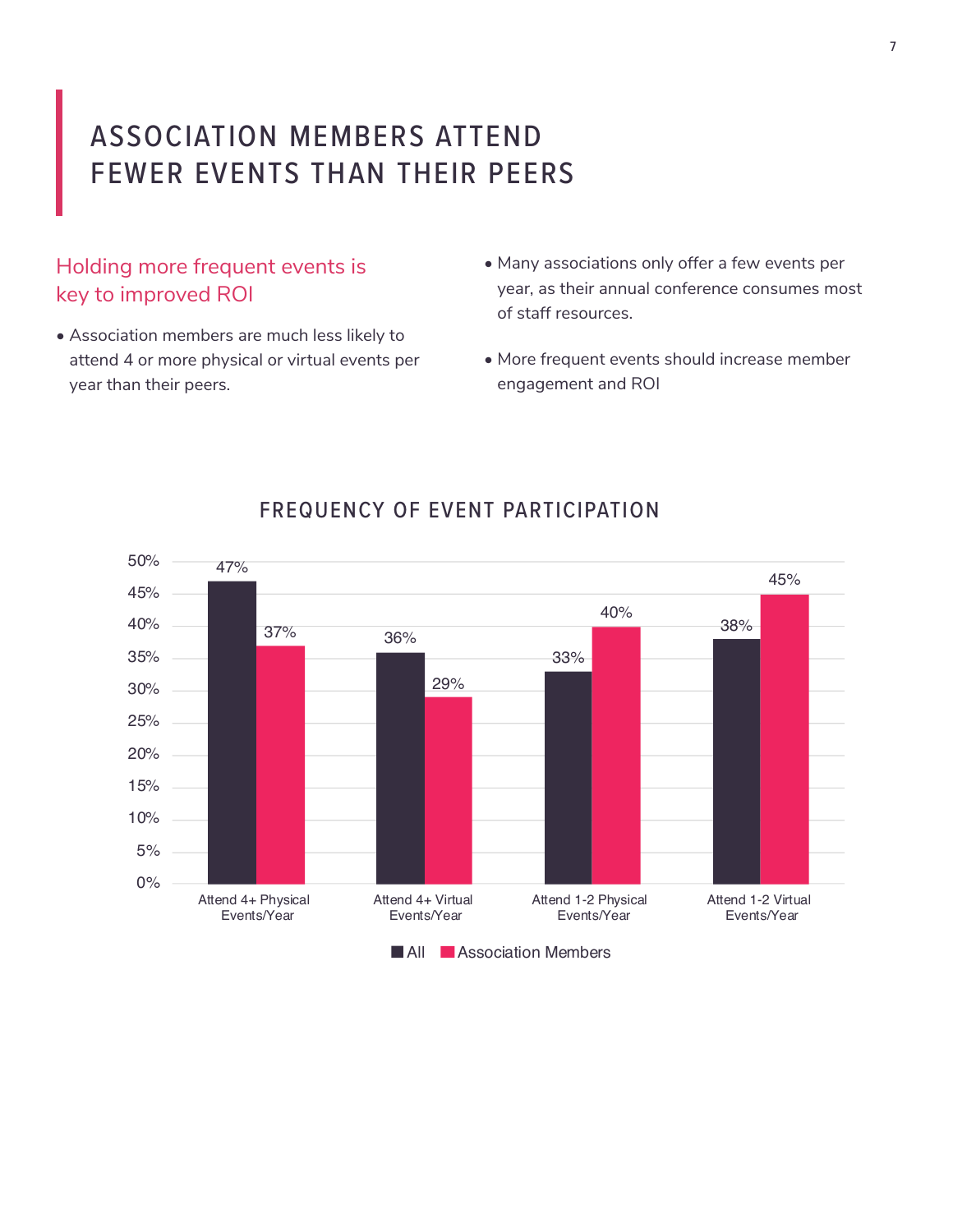## ASSOCIATION MEMBERS ATTEND FEWER EVENTS THAN THEIR PEERS

#### Holding more frequent events is key to improved ROI

- Association members are much less likely to attend 4 or more physical or virtual events per year than their peers.
- Many associations only offer a few events per year, as their annual conference consumes most of staff resources.
- More frequent events should increase member engagement and ROI



#### FREQUENCY OF EVENT PARTICIPATION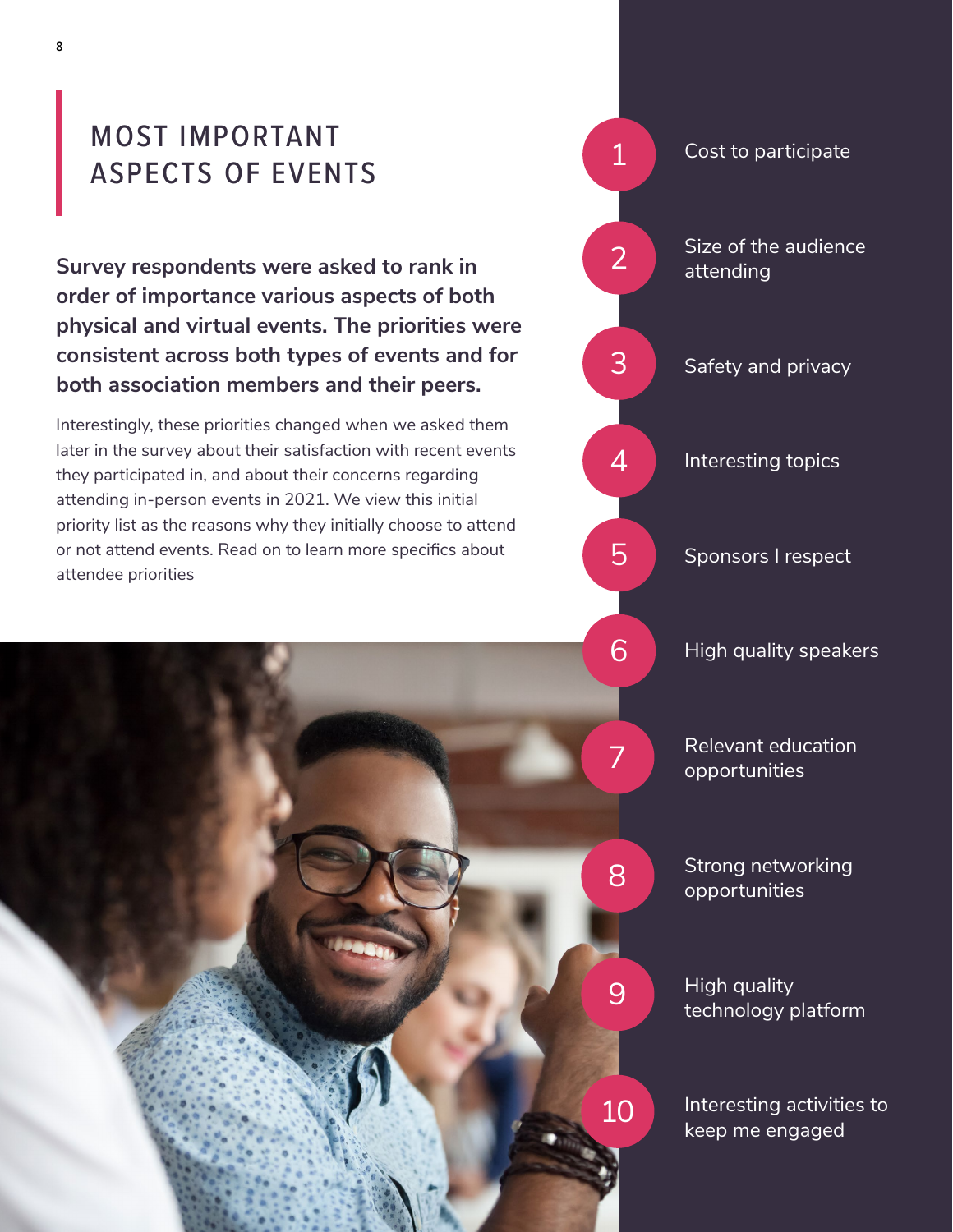### MOST IMPORTANT ASPECTS OF EVENTS

**Survey respondents were asked to rank in order of importance various aspects of both physical and virtual events. The priorities were consistent across both types of events and for both association members and their peers.** 

Interestingly, these priorities changed when we asked them later in the survey about their satisfaction with recent events they participated in, and about their concerns regarding attending in-person events in 2021. We view this initial priority list as the reasons why they initially choose to attend or not attend events. Read on to learn more specifics about attendee priorities

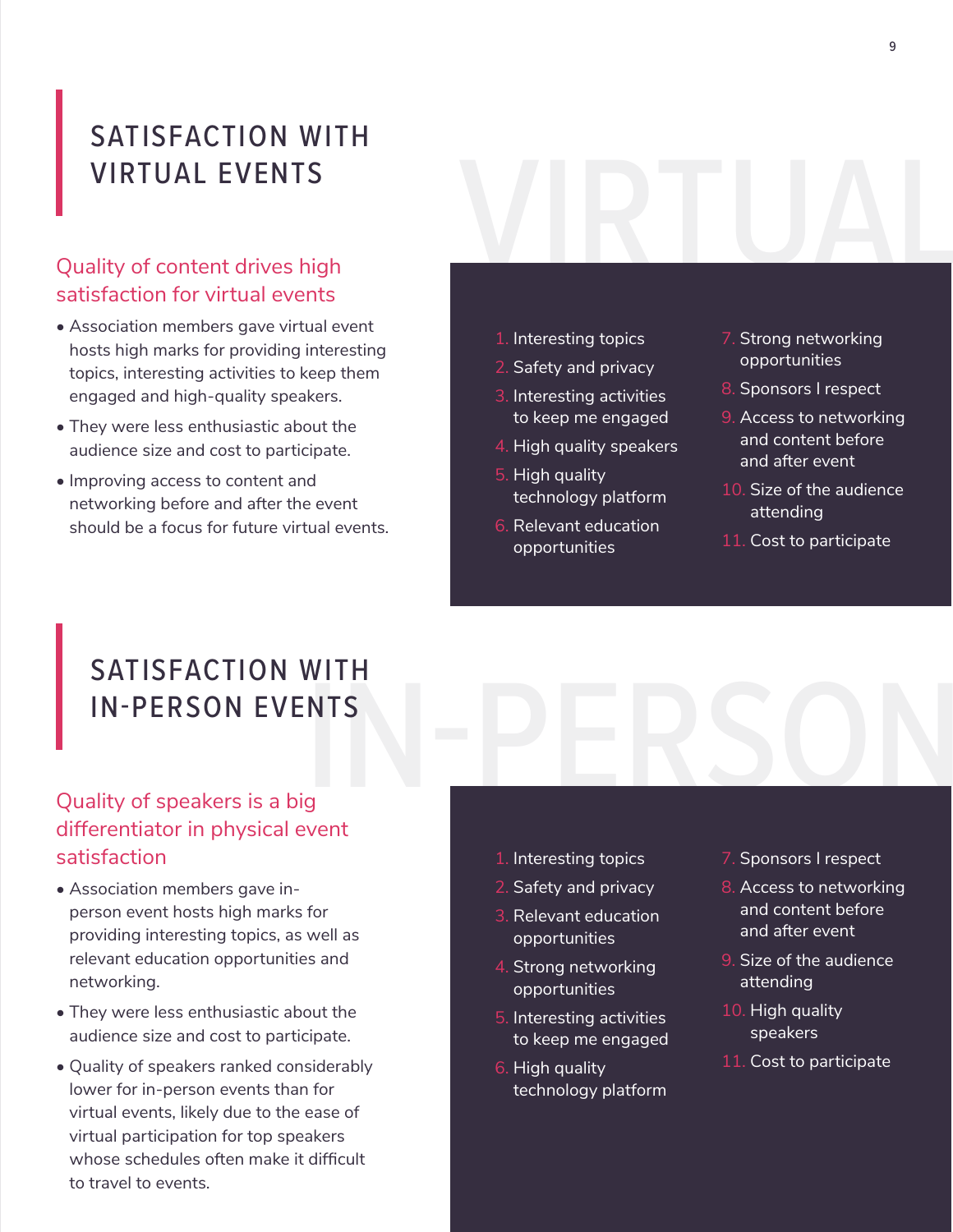### SATISFACTION WITH VIRTUAL EVENTS

# VIRTUAL EVENTS<br>Quality of content drives high<br>satisfaction for virtual events satisfaction for virtual events

- Association members gave virtual event hosts high marks for providing interesting topics, interesting activities to keep them engaged and high-quality speakers.
- They were less enthusiastic about the audience size and cost to participate.
- Improving access to content and networking before and after the event should be a focus for future virtual events.
- 1. Interesting topics
- 2. Safety and privacy
- 3. Interesting activities to keep me engaged
- 4. High quality speakers
- 5. High quality technology platform
- 6. Relevant education opportunities
- 7. Strong networking opportunities
- 8. Sponsors I respect
- 9. Access to networking and content before and after event
- 10. Size of the audience attending
- 11. Cost to participate

# NTS<br>Since PERSON SATISFACTION WITH IN-PERSON EVENTS

### Quality of speakers is a big differentiator in physical event satisfaction

- Association members gave inperson event hosts high marks for providing interesting topics, as well as relevant education opportunities and networking.
- They were less enthusiastic about the audience size and cost to participate.
- Quality of speakers ranked considerably lower for in-person events than for virtual events, likely due to the ease of virtual participation for top speakers whose schedules often make it difficult to travel to events.
- 1. Interesting topics
- 2. Safety and privacy
- 3. Relevant education opportunities
- 4. Strong networking opportunities
- 5. Interesting activities to keep me engaged
- 6. High quality technology platform
- 7. Sponsors I respect
- 8. Access to networking and content before and after event
- 9. Size of the audience attending
- 10. High quality speakers
- 11. Cost to participate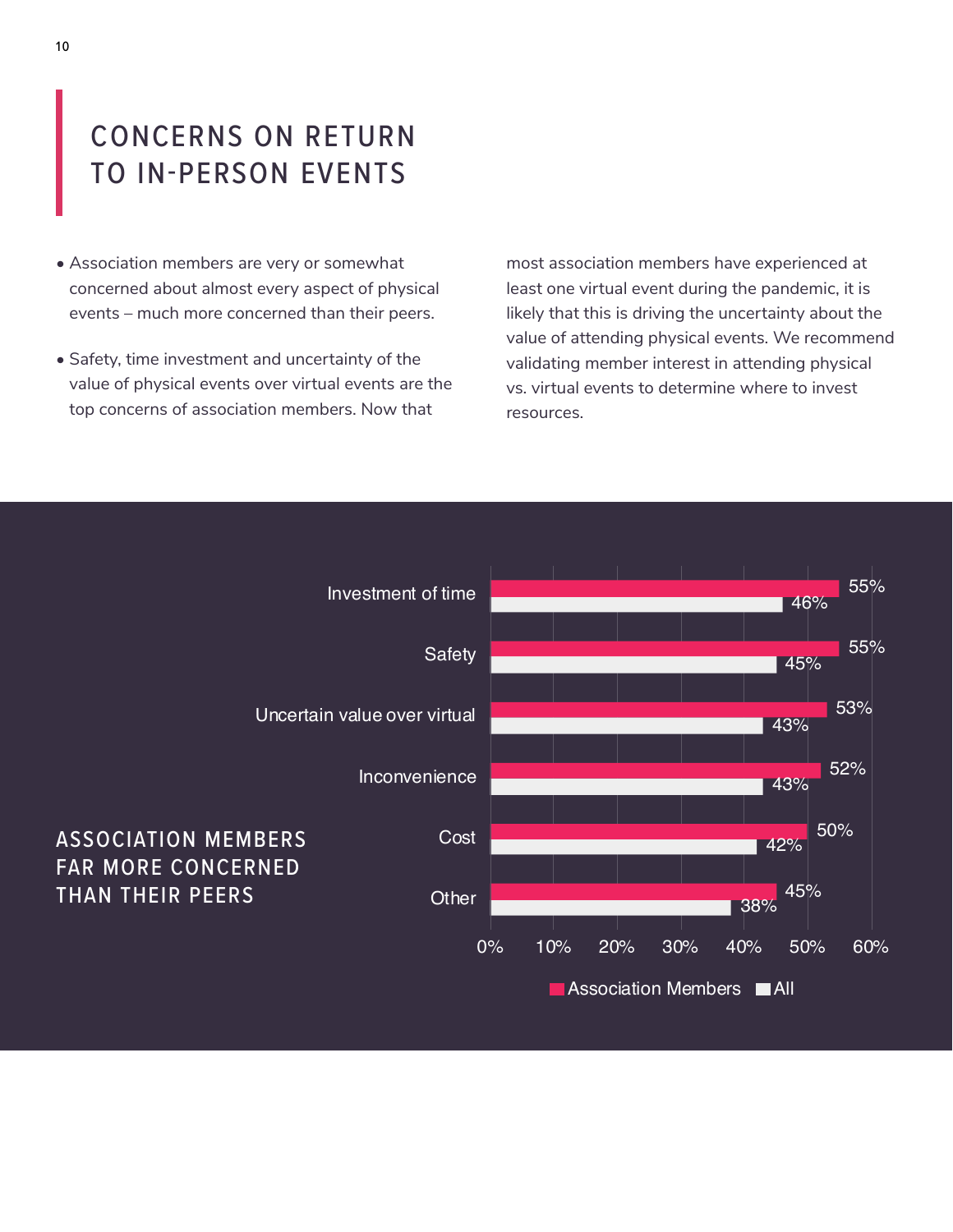### CONCERNS ON RETURN TO IN-PERSON EVENTS

- Association members are very or somewhat concerned about almost every aspect of physical events – much more concerned than their peers.
- Safety, time investment and uncertainty of the value of physical events over virtual events are the top concerns of association members. Now that

most association members have experienced at least one virtual event during the pandemic, it is likely that this is driving the uncertainty about the value of attending physical events. We recommend validating member interest in attending physical vs. virtual events to determine where to invest resources.

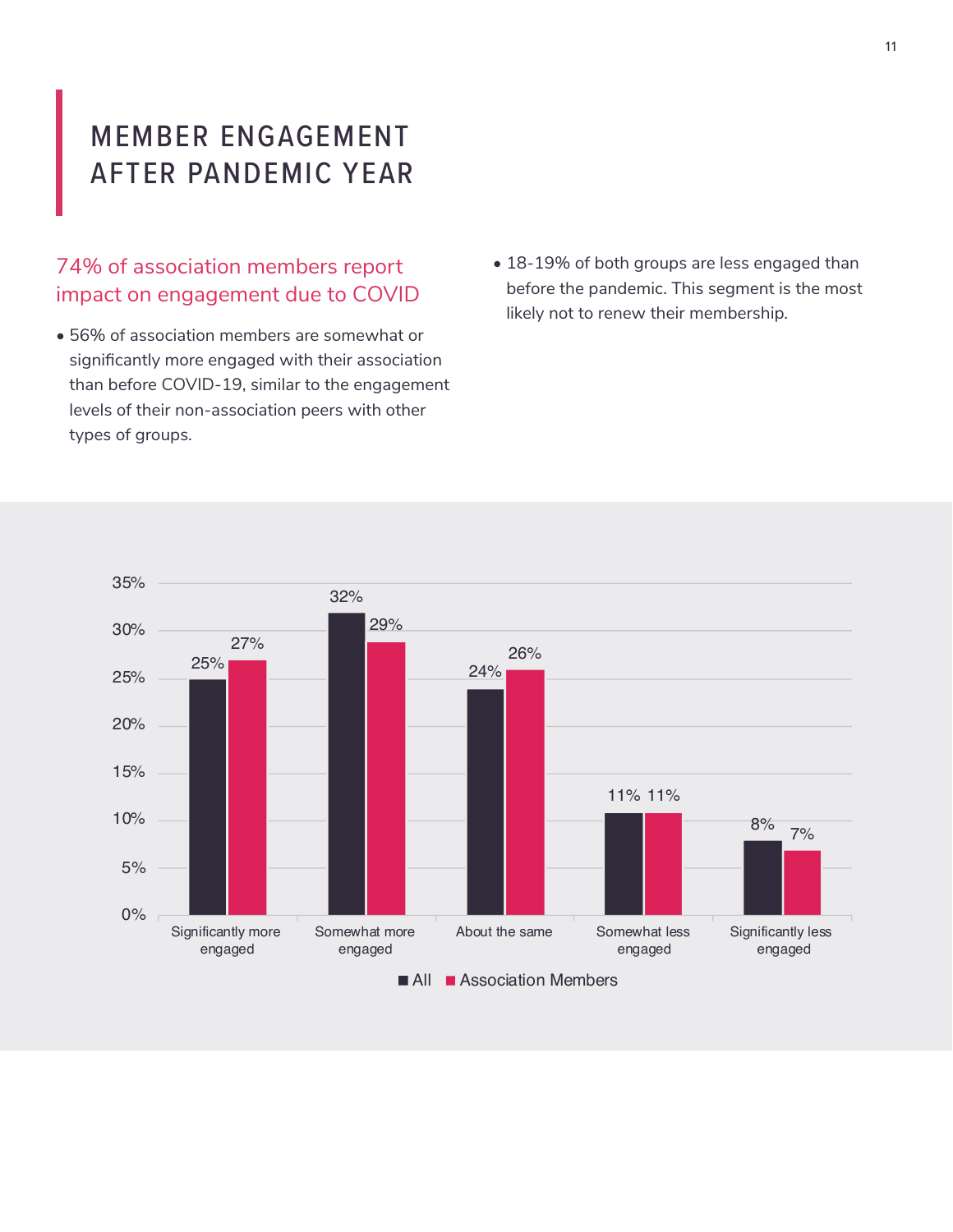### MEMBER ENGAGEMENT AFTER PANDEMIC YEAR

#### 74% of association members report impact on engagement due to COVID

- 56% of association members are somewhat or significantly more engaged with their association than before COVID-19, similar to the engagement levels of their non-association peers with other types of groups.
- 18-19% of both groups are less engaged than before the pandemic. This segment is the most likely not to renew their membership.

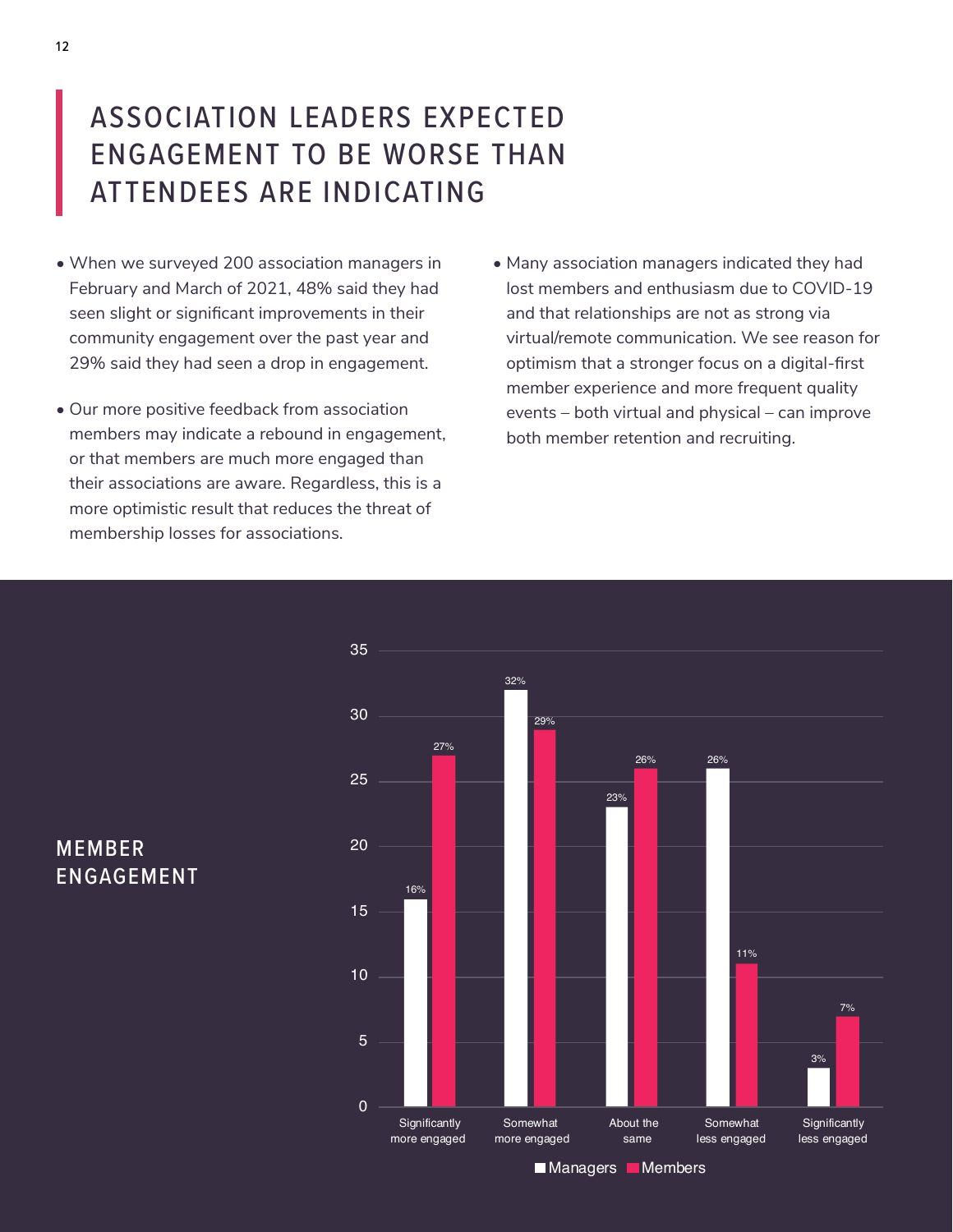### ASSOCIATION LEADERS EXPECTED ENGAGEMENT TO BE WORSE THAN ATTENDEES ARE INDICATING

- When we surveyed 200 association managers in February and March of 2021, 48% said they had seen slight or significant improvements in their community engagement over the past year and 29% said they had seen a drop in engagement.
- Our more positive feedback from association members may indicate a rebound in engagement, or that members are much more engaged than their associations are aware. Regardless, this is a more optimistic result that reduces the threat of membership losses for associations.
- Many association managers indicated they had lost members and enthusiasm due to COVID-19 and that relationships are not as strong via virtual/remote communication. We see reason for optimism that a stronger focus on a digital-first member experience and more frequent quality events – both virtual and physical – can improve both member retention and recruiting.



MEMBER ENGAGEMENT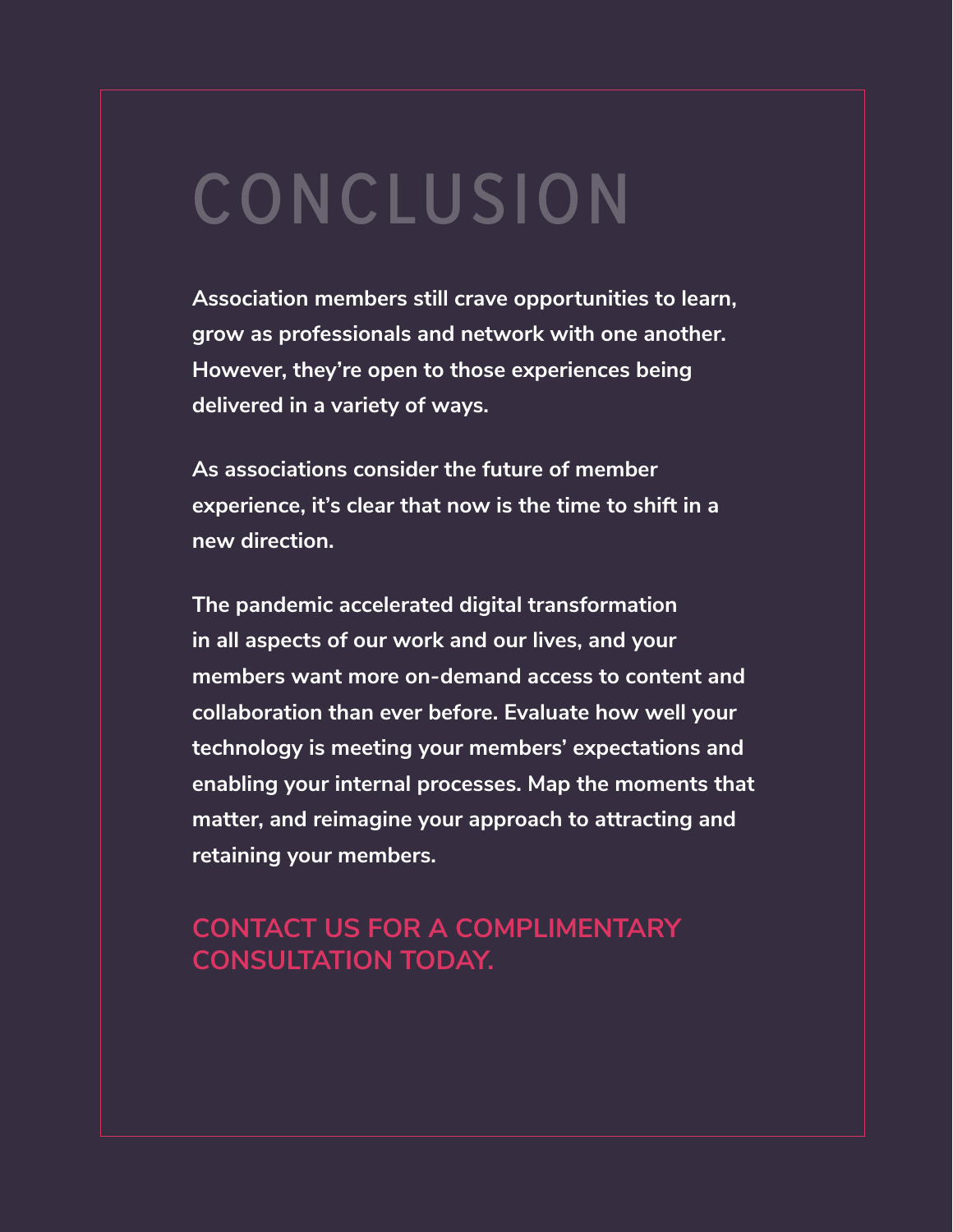# CONCLUSION

**Association members still crave opportunities to learn, grow as professionals and network with one another. However, they're open to those experiences being delivered in a variety of ways.** 

**As associations consider the future of member experience, it's clear that now is the time to shift in a new direction.**

**The pandemic accelerated digital transformation in all aspects of our work and our lives, and your members want more on-demand access to content and collaboration than ever before. Evaluate how well your technology is meeting your members' expectations and enabling your internal processes. Map the moments that matter, and reimagine your approach to attracting and retaining your members.** 

### **CONTACT US FOR A COMPLIMENTARY CONSULTATION TODAY.**